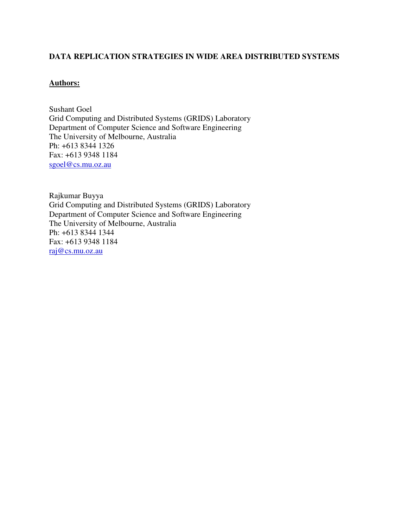#### **DATA REPLICATION STRATEGIES IN WIDE AREA DISTRIBUTED SYSTEMS**

#### **Authors:**

Sushant Goel Grid Computing and Distributed Systems (GRIDS) Laboratory Department of Computer Science and Software Engineering The University of Melbourne, Australia Ph: +613 8344 1326 Fax: +613 9348 1184 sgoel@cs.mu.oz.au

Rajkumar Buyya Grid Computing and Distributed Systems (GRIDS) Laboratory Department of Computer Science and Software Engineering The University of Melbourne, Australia Ph: +613 8344 1344 Fax: +613 9348 1184 raj@cs.mu.oz.au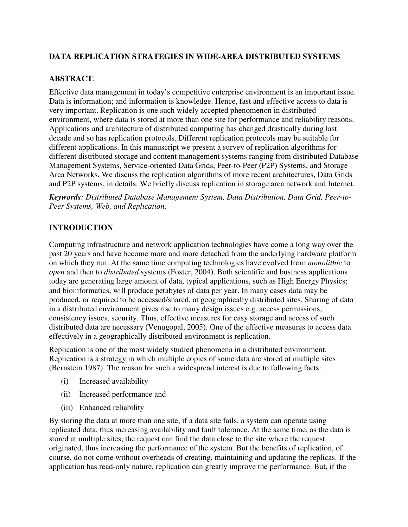# **DATA REPLICATION STRATEGIES IN WIDE-AREA DISTRIBUTED SYSTEMS**

#### **ABSTRACT**:

Effective data management in today's competitive enterprise environment is an important issue. Data is information; and information is knowledge. Hence, fast and effective access to data is very important. Replication is one such widely accepted phenomenon in distributed environment, where data is stored at more than one site for performance and reliability reasons. Applications and architecture of distributed computing has changed drastically during last decade and so has replication protocols. Different replication protocols may be suitable for different applications. In this manuscript we present a survey of replication algorithms for different distributed storage and content management systems ranging from distributed Database Management Systems, Service-oriented Data Grids, Peer-to-Peer (P2P) Systems, and Storage Area Networks. We discuss the replication algorithms of more recent architectures, Data Grids and P2P systems, in details. We briefly discuss replication in storage area network and Internet.

*Keywords: Distributed Database Management System, Data Distribution, Data Grid, Peer-to-Peer Systems, Web, and Replication*.

#### **INTRODUCTION**

Computing infrastructure and network application technologies have come a long way over the past 20 years and have become more and more detached from the underlying hardware platform on which they run. At the same time computing technologies have evolved from *monolithic* to *open* and then to *distributed* systems (Foster, 2004). Both scientific and business applications today are generating large amount of data, typical applications, such as High Energy Physics; and bioinformatics, will produce petabytes of data per year. In many cases data may be produced, or required to be accessed/shared, at geographically distributed sites. Sharing of data in a distributed environment gives rise to many design issues e.g. access permissions, consistency issues, security. Thus, effective measures for easy storage and access of such distributed data are necessary (Venugopal, 2005). One of the effective measures to access data effectively in a geographically distributed environment is replication.

Replication is one of the most widely studied phenomena in a distributed environment. Replication is a strategy in which multiple copies of some data are stored at multiple sites (Bernstein 1987). The reason for such a widespread interest is due to following facts:

- (i) Increased availability
- (ii) Increased performance and
- (iii) Enhanced reliability

By storing the data at more than one site, if a data site fails, a system can operate using replicated data, thus increasing availability and fault tolerance. At the same time, as the data is stored at multiple sites, the request can find the data close to the site where the request originated, thus increasing the performance of the system. But the benefits of replication, of course, do not come without overheads of creating, maintaining and updating the replicas. If the application has read-only nature, replication can greatly improve the performance. But, if the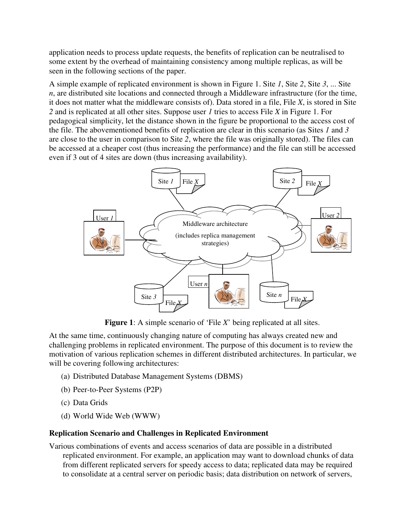application needs to process update requests, the benefits of replication can be neutralised to some extent by the overhead of maintaining consistency among multiple replicas, as will be seen in the following sections of the paper.

A simple example of replicated environment is shown in Figure 1. Site *1*, Site *2*, Site *3*, ... Site *n*, are distributed site locations and connected through a Middleware infrastructure (for the time, it does not matter what the middleware consists of). Data stored in a file, File *X*, is stored in Site *2* and is replicated at all other sites. Suppose user *1* tries to access File *X* in Figure 1. For pedagogical simplicity, let the distance shown in the figure be proportional to the access cost of the file. The abovementioned benefits of replication are clear in this scenario (as Sites *1* and *3* are close to the user in comparison to Site *2*, where the file was originally stored). The files can be accessed at a cheaper cost (thus increasing the performance) and the file can still be accessed even if 3 out of 4 sites are down (thus increasing availability).



**Figure 1**: A simple scenario of 'File *X*' being replicated at all sites.

At the same time, continuously changing nature of computing has always created new and challenging problems in replicated environment. The purpose of this document is to review the motivation of various replication schemes in different distributed architectures. In particular, we will be covering following architectures:

- (a) Distributed Database Management Systems (DBMS)
- (b) Peer-to-Peer Systems (P2P)
- (c) Data Grids
- (d) World Wide Web (WWW)

#### **Replication Scenario and Challenges in Replicated Environment**

Various combinations of events and access scenarios of data are possible in a distributed replicated environment. For example, an application may want to download chunks of data from different replicated servers for speedy access to data; replicated data may be required to consolidate at a central server on periodic basis; data distribution on network of servers,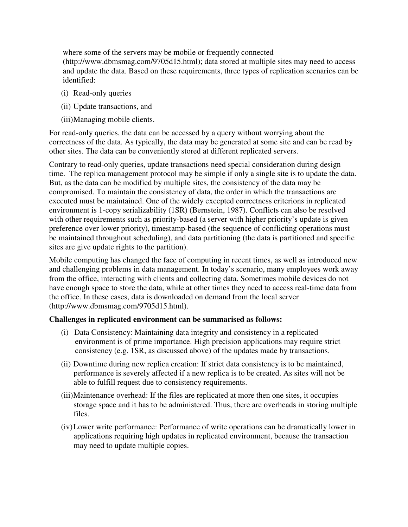where some of the servers may be mobile or frequently connected (http://www.dbmsmag.com/9705d15.html); data stored at multiple sites may need to access and update the data. Based on these requirements, three types of replication scenarios can be identified:

- (i) Read-only queries
- (ii) Update transactions, and
- (iii)Managing mobile clients.

For read-only queries, the data can be accessed by a query without worrying about the correctness of the data. As typically, the data may be generated at some site and can be read by other sites. The data can be conveniently stored at different replicated servers.

Contrary to read-only queries, update transactions need special consideration during design time. The replica management protocol may be simple if only a single site is to update the data. But, as the data can be modified by multiple sites, the consistency of the data may be compromised. To maintain the consistency of data, the order in which the transactions are executed must be maintained. One of the widely excepted correctness criterions in replicated environment is 1-copy serializability (1SR) (Bernstein, 1987). Conflicts can also be resolved with other requirements such as priority-based (a server with higher priority's update is given preference over lower priority), timestamp-based (the sequence of conflicting operations must be maintained throughout scheduling), and data partitioning (the data is partitioned and specific sites are give update rights to the partition).

Mobile computing has changed the face of computing in recent times, as well as introduced new and challenging problems in data management. In today's scenario, many employees work away from the office, interacting with clients and collecting data. Sometimes mobile devices do not have enough space to store the data, while at other times they need to access real-time data from the office. In these cases, data is downloaded on demand from the local server (http://www.dbmsmag.com/9705d15.html).

#### **Challenges in replicated environment can be summarised as follows:**

- (i) Data Consistency: Maintaining data integrity and consistency in a replicated environment is of prime importance. High precision applications may require strict consistency (e.g. 1SR, as discussed above) of the updates made by transactions.
- (ii) Downtime during new replica creation: If strict data consistency is to be maintained, performance is severely affected if a new replica is to be created. As sites will not be able to fulfill request due to consistency requirements.
- (iii)Maintenance overhead: If the files are replicated at more then one sites, it occupies storage space and it has to be administered. Thus, there are overheads in storing multiple files.
- (iv)Lower write performance: Performance of write operations can be dramatically lower in applications requiring high updates in replicated environment, because the transaction may need to update multiple copies.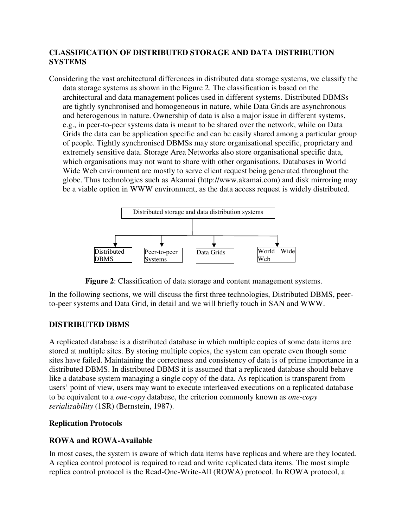# **CLASSIFICATION OF DISTRIBUTED STORAGE AND DATA DISTRIBUTION SYSTEMS**

Considering the vast architectural differences in distributed data storage systems, we classify the data storage systems as shown in the Figure 2. The classification is based on the architectural and data management polices used in different systems. Distributed DBMSs are tightly synchronised and homogeneous in nature, while Data Grids are asynchronous and heterogenous in nature. Ownership of data is also a major issue in different systems, e.g., in peer-to-peer systems data is meant to be shared over the network, while on Data Grids the data can be application specific and can be easily shared among a particular group of people. Tightly synchronised DBMSs may store organisational specific, proprietary and extremely sensitive data. Storage Area Networks also store organisational specific data, which organisations may not want to share with other organisations. Databases in World Wide Web environment are mostly to serve client request being generated throughout the globe. Thus technologies such as Akamai (http://www.akamai.com) and disk mirroring may be a viable option in WWW environment, as the data access request is widely distributed.





In the following sections, we will discuss the first three technologies, Distributed DBMS, peerto-peer systems and Data Grid, in detail and we will briefly touch in SAN and WWW.

# **DISTRIBUTED DBMS**

A replicated database is a distributed database in which multiple copies of some data items are stored at multiple sites. By storing multiple copies, the system can operate even though some sites have failed. Maintaining the correctness and consistency of data is of prime importance in a distributed DBMS. In distributed DBMS it is assumed that a replicated database should behave like a database system managing a single copy of the data. As replication is transparent from users' point of view, users may want to execute interleaved executions on a replicated database to be equivalent to a *one-copy* database, the criterion commonly known as *one-copy serializability* (1SR) (Bernstein, 1987).

# **Replication Protocols**

# **ROWA and ROWA-Available**

In most cases, the system is aware of which data items have replicas and where are they located. A replica control protocol is required to read and write replicated data items. The most simple replica control protocol is the Read-One-Write-All (ROWA) protocol. In ROWA protocol, a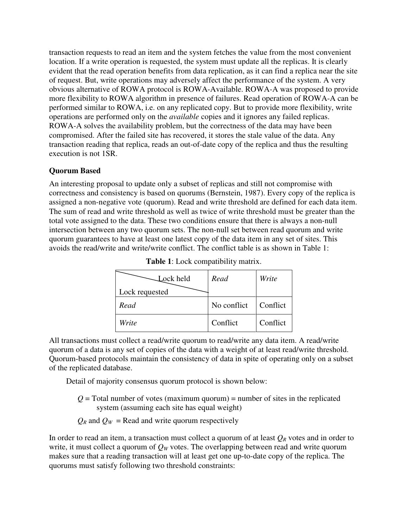transaction requests to read an item and the system fetches the value from the most convenient location. If a write operation is requested, the system must update all the replicas. It is clearly evident that the read operation benefits from data replication, as it can find a replica near the site of request. But, write operations may adversely affect the performance of the system. A very obvious alternative of ROWA protocol is ROWA-Available. ROWA-A was proposed to provide more flexibility to ROWA algorithm in presence of failures. Read operation of ROWA-A can be performed similar to ROWA, i.e. on any replicated copy. But to provide more flexibility, write operations are performed only on the *available* copies and it ignores any failed replicas. ROWA-A solves the availability problem, but the correctness of the data may have been compromised. After the failed site has recovered, it stores the stale value of the data. Any transaction reading that replica, reads an out-of-date copy of the replica and thus the resulting execution is not 1SR.

# **Quorum Based**

An interesting proposal to update only a subset of replicas and still not compromise with correctness and consistency is based on quorums (Bernstein, 1987). Every copy of the replica is assigned a non-negative vote (quorum). Read and write threshold are defined for each data item. The sum of read and write threshold as well as twice of write threshold must be greater than the total vote assigned to the data. These two conditions ensure that there is always a non-null intersection between any two quorum sets. The non-null set between read quorum and write quorum guarantees to have at least one latest copy of the data item in any set of sites. This avoids the read/write and write/write conflict. The conflict table is as shown in Table 1:

| Lock held      | Read        | Write    |
|----------------|-------------|----------|
| Lock requested |             |          |
| Read           | No conflict | Conflict |
| Write          | Conflict    | Conflict |

**Table 1**: Lock compatibility matrix.

All transactions must collect a read/write quorum to read/write any data item. A read/write quorum of a data is any set of copies of the data with a weight of at least read/write threshold. Quorum-based protocols maintain the consistency of data in spite of operating only on a subset of the replicated database.

Detail of majority consensus quorum protocol is shown below:

 $Q =$ Total number of votes (maximum quorum) = number of sites in the replicated system (assuming each site has equal weight)

 $Q_R$  and  $Q_W$  = Read and write quorum respectively

In order to read an item, a transaction must collect a quorum of at least  $Q_R$  votes and in order to write, it must collect a quorum of  $Q_W$  votes. The overlapping between read and write quorum makes sure that a reading transaction will at least get one up-to-date copy of the replica. The quorums must satisfy following two threshold constraints: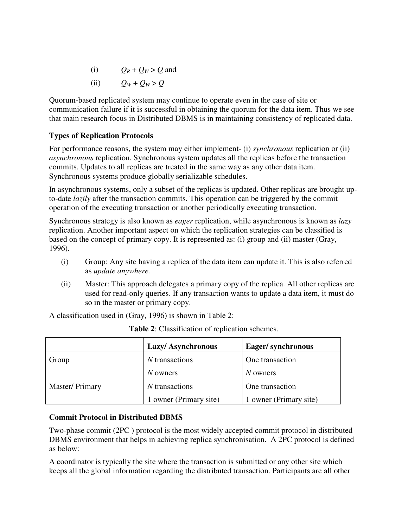- (i)  $Q_R + Q_W > Q$  and
- (ii)  $Q_W + Q_W > Q$

Quorum-based replicated system may continue to operate even in the case of site or communication failure if it is successful in obtaining the quorum for the data item. Thus we see that main research focus in Distributed DBMS is in maintaining consistency of replicated data.

# **Types of Replication Protocols**

For performance reasons, the system may either implement- (i) *synchronous* replication or (ii) *asynchronous* replication. Synchronous system updates all the replicas before the transaction commits. Updates to all replicas are treated in the same way as any other data item. Synchronous systems produce globally serializable schedules.

In asynchronous systems, only a subset of the replicas is updated. Other replicas are brought upto-date *lazily* after the transaction commits. This operation can be triggered by the commit operation of the executing transaction or another periodically executing transaction.

Synchronous strategy is also known as *eager* replication, while asynchronous is known as *lazy* replication. Another important aspect on which the replication strategies can be classified is based on the concept of primary copy. It is represented as: (i) group and (ii) master (Gray, 1996).

- (i) Group: Any site having a replica of the data item can update it. This is also referred as *update anywhere.*
- (ii) Master: This approach delegates a primary copy of the replica. All other replicas are used for read-only queries. If any transaction wants to update a data item, it must do so in the master or primary copy.

A classification used in (Gray, 1996) is shown in Table 2:

|                | <b>Lazy/Asynchronous</b>            | Eager/synchronous      |  |
|----------------|-------------------------------------|------------------------|--|
| Group          | N transactions                      | One transaction        |  |
|                | N owners                            | N owners               |  |
| Master/Primary | $N$ transactions<br>One transaction |                        |  |
|                | 1 owner (Primary site)              | 1 owner (Primary site) |  |

# **Commit Protocol in Distributed DBMS**

Two-phase commit (2PC ) protocol is the most widely accepted commit protocol in distributed DBMS environment that helps in achieving replica synchronisation. A 2PC protocol is defined as below:

A coordinator is typically the site where the transaction is submitted or any other site which keeps all the global information regarding the distributed transaction. Participants are all other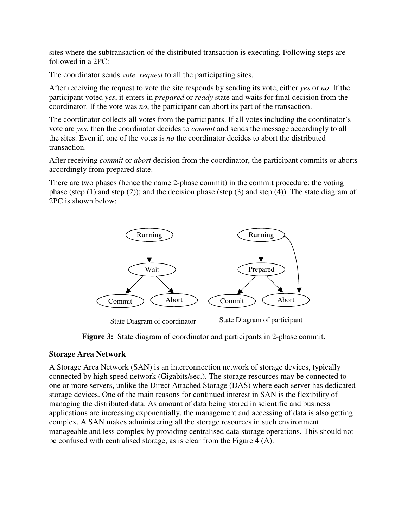sites where the subtransaction of the distributed transaction is executing. Following steps are followed in a 2PC:

The coordinator sends *vote request* to all the participating sites.

After receiving the request to vote the site responds by sending its vote, either *yes* or *no*. If the participant voted *yes*, it enters in *prepared* or *ready* state and waits for final decision from the coordinator. If the vote was *no*, the participant can abort its part of the transaction.

The coordinator collects all votes from the participants. If all votes including the coordinator's vote are *yes*, then the coordinator decides to *commit* and sends the message accordingly to all the sites. Even if, one of the votes is *no* the coordinator decides to abort the distributed transaction.

After receiving *commit* or *abort* decision from the coordinator, the participant commits or aborts accordingly from prepared state.

There are two phases (hence the name 2-phase commit) in the commit procedure: the voting phase (step  $(1)$  and step  $(2)$ ); and the decision phase (step  $(3)$  and step  $(4)$ ). The state diagram of 2PC is shown below:



State Diagram of coordinator State Diagram of participant

**Figure 3:** State diagram of coordinator and participants in 2-phase commit.

#### **Storage Area Network**

A Storage Area Network (SAN) is an interconnection network of storage devices, typically connected by high speed network (Gigabits/sec.). The storage resources may be connected to one or more servers, unlike the Direct Attached Storage (DAS) where each server has dedicated storage devices. One of the main reasons for continued interest in SAN is the flexibility of managing the distributed data. As amount of data being stored in scientific and business applications are increasing exponentially, the management and accessing of data is also getting complex. A SAN makes administering all the storage resources in such environment manageable and less complex by providing centralised data storage operations. This should not be confused with centralised storage, as is clear from the Figure 4 (A).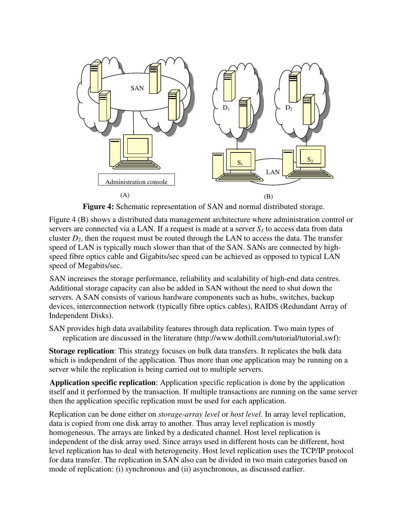

**Figure 4:** Schematic representation of SAN and normal distributed storage.

Figure 4 (B) shows a distributed data management architecture where administration control or servers are connected via a LAN. If a request is made at a server  $S_I$  to access data from data cluster  $D_2$ , then the request must be routed through the LAN to access the data. The transfer speed of LAN is typically much slower than that of the SAN. SANs are connected by highspeed fibre optics cable and Gigabits/sec speed can be achieved as opposed to typical LAN speed of Megabits/sec.

SAN increases the storage performance, reliability and scalability of high-end data centres. Additional storage capacity can also be added in SAN without the need to shut down the servers. A SAN consists of various hardware components such as hubs, switches, backup devices, interconnection network (typically fibre optics cables), RAIDS (Redundant Array of Independent Disks).

SAN provides high data availability features through data replication. Two main types of replication are discussed in the literature (http://www.dothill.com/tutorial/tutorial.swf):

**Storage replication**: This strategy focuses on bulk data transfers. It replicates the bulk data which is independent of the application. Thus more than one application may be running on a server while the replication is being carried out to multiple servers.

**Application specific replication**: Application specific replication is done by the application itself and it performed by the transaction. If multiple transactions are running on the same server then the application specific replication must be used for each application.

Replication can be done either on *storage-array level* or *host level*. In array level replication, data is copied from one disk array to another. Thus array level replication is mostly homogeneous. The arrays are linked by a dedicated channel. Host level replication is independent of the disk array used. Since arrays used in different hosts can be different, host level replication has to deal with heterogeneity. Host level replication uses the TCP/IP protocol for data transfer. The replication in SAN also can be divided in two main categories based on mode of replication: (i) synchronous and (ii) asynchronous, as discussed earlier.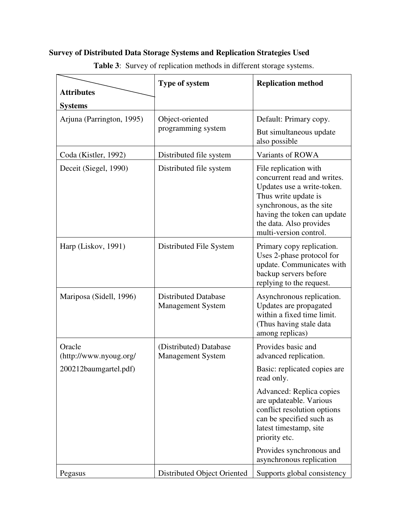# **Survey of Distributed Data Storage Systems and Replication Strategies Used**

|                                  | Type of system                                          | <b>Replication method</b>                                                                                                                                                                                                  |  |
|----------------------------------|---------------------------------------------------------|----------------------------------------------------------------------------------------------------------------------------------------------------------------------------------------------------------------------------|--|
| <b>Attributes</b>                |                                                         |                                                                                                                                                                                                                            |  |
| <b>Systems</b>                   |                                                         |                                                                                                                                                                                                                            |  |
| Arjuna (Parrington, 1995)        | Object-oriented                                         | Default: Primary copy.                                                                                                                                                                                                     |  |
|                                  | programming system                                      | But simultaneous update<br>also possible                                                                                                                                                                                   |  |
| Coda (Kistler, 1992)             | Distributed file system                                 | Variants of ROWA                                                                                                                                                                                                           |  |
| Deceit (Siegel, 1990)            | Distributed file system                                 | File replication with<br>concurrent read and writes.<br>Updates use a write-token.<br>Thus write update is<br>synchronous, as the site<br>having the token can update<br>the data. Also provides<br>multi-version control. |  |
| Harp (Liskov, 1991)              | Distributed File System                                 | Primary copy replication.<br>Uses 2-phase protocol for<br>update. Communicates with<br>backup servers before<br>replying to the request.                                                                                   |  |
| Mariposa (Sidell, 1996)          | <b>Distributed Database</b><br><b>Management System</b> | Asynchronous replication.<br>Updates are propagated<br>within a fixed time limit.<br>(Thus having stale data<br>among replicas)                                                                                            |  |
| Oracle<br>(http://www.nyoug.org/ | (Distributed) Database<br><b>Management System</b>      | Provides basic and<br>advanced replication.                                                                                                                                                                                |  |
| 200212baumgartel.pdf)            |                                                         | Basic: replicated copies are<br>read only.                                                                                                                                                                                 |  |
|                                  |                                                         | Advanced: Replica copies<br>are updateable. Various<br>conflict resolution options<br>can be specified such as<br>latest timestamp, site<br>priority etc.                                                                  |  |
|                                  |                                                         | Provides synchronous and<br>asynchronous replication                                                                                                                                                                       |  |
| Pegasus                          | Distributed Object Oriented                             | Supports global consistency                                                                                                                                                                                                |  |

**Table 3**: Survey of replication methods in different storage systems.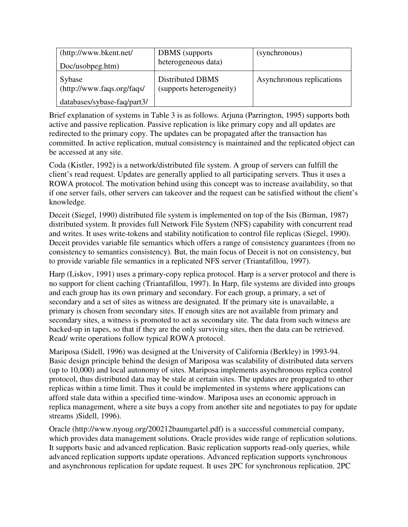| (http://www.bkent.net/<br>Doc/usobpeg.htm) | <b>DBMS</b> (supports)<br>heterogeneous data) | (synchronous)             |
|--------------------------------------------|-----------------------------------------------|---------------------------|
| Sybase<br>(http://www.faqs.org/faqs/       | Distributed DBMS<br>(supports heterogeneity)  | Asynchronous replications |
| databases/sybase-faq/part3/                |                                               |                           |

Brief explanation of systems in Table 3 is as follows. Arjuna (Parrington, 1995) supports both active and passive replication. Passive replication is like primary copy and all updates are redirected to the primary copy. The updates can be propagated after the transaction has committed. In active replication, mutual consistency is maintained and the replicated object can be accessed at any site.

Coda (Kistler, 1992) is a network/distributed file system. A group of servers can fulfill the client's read request. Updates are generally applied to all participating servers. Thus it uses a ROWA protocol. The motivation behind using this concept was to increase availability, so that if one server fails, other servers can takeover and the request can be satisfied without the client's knowledge.

Deceit (Siegel, 1990) distributed file system is implemented on top of the Isis (Birman, 1987) distributed system. It provides full Network File System (NFS) capability with concurrent read and writes. It uses write-tokens and stability notification to control file replicas (Siegel, 1990). Deceit provides variable file semantics which offers a range of consistency guarantees (from no consistency to semantics consistency). But, the main focus of Deceit is not on consistency, but to provide variable file semantics in a replicated NFS server (Triantafillou, 1997).

Harp (Liskov, 1991) uses a primary-copy replica protocol. Harp is a server protocol and there is no support for client caching (Triantafillou, 1997). In Harp, file systems are divided into groups and each group has its own primary and secondary. For each group, a primary, a set of secondary and a set of sites as witness are designated. If the primary site is unavailable, a primary is chosen from secondary sites. If enough sites are not available from primary and secondary sites, a witness is promoted to act as secondary site. The data from such witness are backed-up in tapes, so that if they are the only surviving sites, then the data can be retrieved. Read/ write operations follow typical ROWA protocol.

Mariposa (Sidell, 1996) was designed at the University of California (Berkley) in 1993-94. Basic design principle behind the design of Mariposa was scalability of distributed data servers (up to 10,000) and local autonomy of sites. Mariposa implements asynchronous replica control protocol, thus distributed data may be stale at certain sites. The updates are propagated to other replicas within a time limit. Thus it could be implemented in systems where applications can afford stale data within a specified time-window. Mariposa uses an economic approach in replica management, where a site buys a copy from another site and negotiates to pay for update streams )Sidell, 1996).

Oracle (http://www.nyoug.org/200212baumgartel.pdf) is a successful commercial company, which provides data management solutions. Oracle provides wide range of replication solutions. It supports basic and advanced replication. Basic replication supports read-only queries, while advanced replication supports update operations. Advanced replication supports synchronous and asynchronous replication for update request. It uses 2PC for synchronous replication. 2PC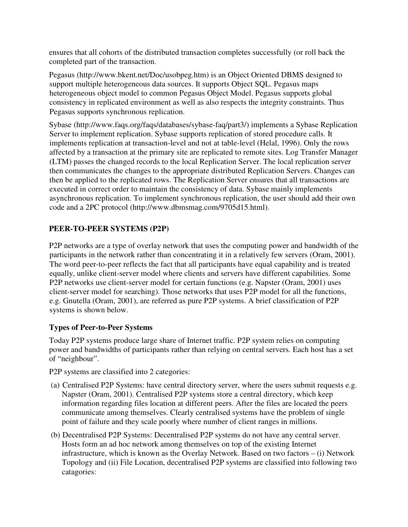ensures that all cohorts of the distributed transaction completes successfully (or roll back the completed part of the transaction.

Pegasus (http://www.bkent.net/Doc/usobpeg.htm) is an Object Oriented DBMS designed to support multiple heterogeneous data sources. It supports Object SQL. Pegasus maps heterogeneous object model to common Pegasus Object Model. Pegasus supports global consistency in replicated environment as well as also respects the integrity constraints. Thus Pegasus supports synchronous replication.

Sybase (http://www.faqs.org/faqs/databases/sybase-faq/part3/) implements a Sybase Replication Server to implement replication. Sybase supports replication of stored procedure calls. It implements replication at transaction-level and not at table-level (Helal, 1996). Only the rows affected by a transaction at the primary site are replicated to remote sites. Log Transfer Manager (LTM) passes the changed records to the local Replication Server. The local replication server then communicates the changes to the appropriate distributed Replication Servers. Changes can then be applied to the replicated rows. The Replication Server ensures that all transactions are executed in correct order to maintain the consistency of data. Sybase mainly implements asynchronous replication. To implement synchronous replication, the user should add their own code and a 2PC protocol (http://www.dbmsmag.com/9705d15.html).

# **PEER-TO-PEER SYSTEMS (P2P)**

P2P networks are a type of overlay network that uses the computing power and bandwidth of the participants in the network rather than concentrating it in a relatively few servers (Oram, 2001). The word peer-to-peer reflects the fact that all participants have equal capability and is treated equally, unlike client-server model where clients and servers have different capabilities. Some P2P networks use client-server model for certain functions (e.g. Napster (Oram, 2001) uses client-server model for searching). Those networks that uses P2P model for all the functions, e.g. Gnutella (Oram, 2001), are referred as pure P2P systems. A brief classification of P2P systems is shown below.

# **Types of Peer-to-Peer Systems**

Today P2P systems produce large share of Internet traffic. P2P system relies on computing power and bandwidths of participants rather than relying on central servers. Each host has a set of "neighbour".

P2P systems are classified into 2 categories:

- (a) Centralised P2P Systems: have central directory server, where the users submit requests e.g. Napster (Oram, 2001). Centralised P2P systems store a central directory, which keep information regarding files location at different peers. After the files are located the peers communicate among themselves. Clearly centralised systems have the problem of single point of failure and they scale poorly where number of client ranges in millions.
- (b) Decentralised P2P Systems: Decentralised P2P systems do not have any central server. Hosts form an ad hoc network among themselves on top of the existing Internet infrastructure, which is known as the Overlay Network. Based on two factors – (i) Network Topology and (ii) File Location, decentralised P2P systems are classified into following two catagories: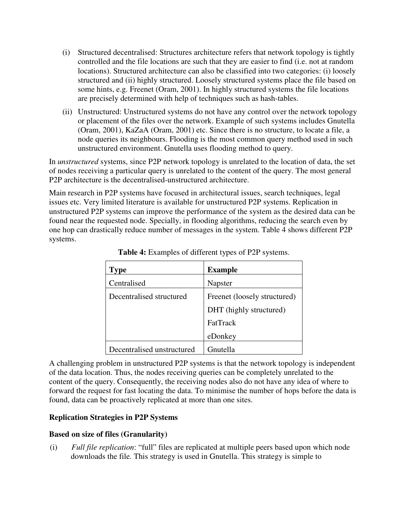- (i) Structured decentralised: Structures architecture refers that network topology is tightly controlled and the file locations are such that they are easier to find (i.e. not at random locations). Structured architecture can also be classified into two categories: (i) loosely structured and (ii) highly structured. Loosely structured systems place the file based on some hints, e.g. Freenet (Oram, 2001). In highly structured systems the file locations are precisely determined with help of techniques such as hash-tables.
- (ii) Unstructured: Unstructured systems do not have any control over the network topology or placement of the files over the network. Example of such systems includes Gnutella (Oram, 2001), KaZaA (Oram, 2001) etc. Since there is no structure, to locate a file, a node queries its neighbours. Flooding is the most common query method used in such unstructured environment. Gnutella uses flooding method to query.

In *unstructured* systems, since P2P network topology is unrelated to the location of data, the set of nodes receiving a particular query is unrelated to the content of the query. The most general P2P architecture is the decentralised-unstructured architecture.

Main research in P2P systems have focused in architectural issues, search techniques, legal issues etc. Very limited literature is available for unstructured P2P systems. Replication in unstructured P2P systems can improve the performance of the system as the desired data can be found near the requested node. Specially, in flooding algorithms, reducing the search even by one hop can drastically reduce number of messages in the system. Table 4 shows different P2P systems.

| <b>Type</b>                | <b>Example</b>               |
|----------------------------|------------------------------|
| Centralised                | Napster                      |
| Decentralised structured   | Freenet (loosely structured) |
|                            | DHT (highly structured)      |
|                            | FatTrack                     |
|                            | eDonkey                      |
| Decentralised unstructured | Gnutella                     |

**Table 4:** Examples of different types of P2P systems.

A challenging problem in unstructured P2P systems is that the network topology is independent of the data location. Thus, the nodes receiving queries can be completely unrelated to the content of the query. Consequently, the receiving nodes also do not have any idea of where to forward the request for fast locating the data. To minimise the number of hops before the data is found, data can be proactively replicated at more than one sites.

# **Replication Strategies in P2P Systems**

# **Based on size of files (Granularity)**

(i) *Full file replication*: "full" files are replicated at multiple peers based upon which node downloads the file. This strategy is used in Gnutella. This strategy is simple to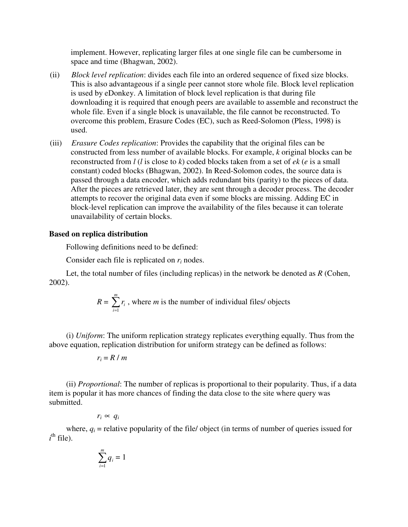implement. However, replicating larger files at one single file can be cumbersome in space and time (Bhagwan, 2002).

- (ii) *Block level replication*: divides each file into an ordered sequence of fixed size blocks. This is also advantageous if a single peer cannot store whole file. Block level replication is used by eDonkey. A limitation of block level replication is that during file downloading it is required that enough peers are available to assemble and reconstruct the whole file. Even if a single block is unavailable, the file cannot be reconstructed. To overcome this problem, Erasure Codes (EC), such as Reed-Solomon (Pless, 1998) is used.
- (iii) *Erasure Codes replication*: Provides the capability that the original files can be constructed from less number of available blocks. For example, *k* original blocks can be reconstructed from *l* (*l* is close to *k*) coded blocks taken from a set of *ek* (*e* is a small constant) coded blocks (Bhagwan, 2002). In Reed-Solomon codes, the source data is passed through a data encoder, which adds redundant bits (parity) to the pieces of data. After the pieces are retrieved later, they are sent through a decoder process. The decoder attempts to recover the original data even if some blocks are missing. Adding EC in block-level replication can improve the availability of the files because it can tolerate unavailability of certain blocks.

#### **Based on replica distribution**

Following definitions need to be defined:

Consider each file is replicated on  $r_i$  nodes.

Let, the total number of files (including replicas) in the network be denoted as *R* (Cohen, 2002).

$$
R = \sum_{i=1}^{m} r_i
$$
, where *m* is the number of individual files/ objects

(i) *Uniform*: The uniform replication strategy replicates everything equally. Thus from the above equation, replication distribution for uniform strategy can be defined as follows:

$$
r_i = R / m
$$

(ii) *Proportional*: The number of replicas is proportional to their popularity. Thus, if a data item is popular it has more chances of finding the data close to the site where query was submitted.

$$
r_i \propto q_i
$$

where,  $q_i$  = relative popularity of the file/ object (in terms of number of queries issued for  $i<sup>th</sup>$  file).

$$
\sum_{i=1}^m q_i = 1
$$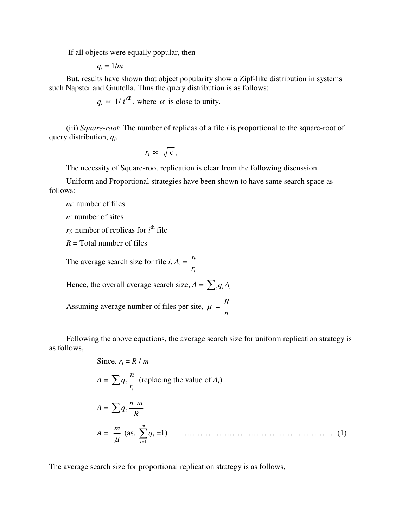If all objects were equally popular, then

 $q_i = 1/m$ 

But, results have shown that object popularity show a Zipf-like distribution in systems such Napster and Gnutella. Thus the query distribution is as follows:

 $q_i \propto 1/i^{\alpha}$ , where  $\alpha$  is close to unity.

(iii) *Square-root*: The number of replicas of a file *i* is proportional to the square-root of query distribution, *q<sup>i</sup>* .

$$
r_i \propto \sqrt{\mathbf{q}}_i
$$

The necessity of Square-root replication is clear from the following discussion.

Uniform and Proportional strategies have been shown to have same search space as follows:

*m*: number of files

*n*: number of sites

 $r_i$ : number of replicas for  $i^{\text{th}}$  file

 $R =$ Total number of files

The average search size for file  $i, A_i =$ *i r n*

Hence, the overall average search size,  $A = \sum_i q_i A_i$ 

Assuming average number of files per site,  $\mu =$ *n R*

Following the above equations, the average search size for uniform replication strategy is as follows,

Since, 
$$
r_i = R / m
$$
  
\n
$$
A = \sum q_i \frac{n}{r_i}
$$
 (replacing the value of  $A_i$ )  
\n
$$
A = \sum q_i \frac{n}{R}
$$
  
\n
$$
A = \frac{m}{\mu} (as, \sum_{i=1}^{m} q_i = 1)
$$
 (1)

The average search size for proportional replication strategy is as follows,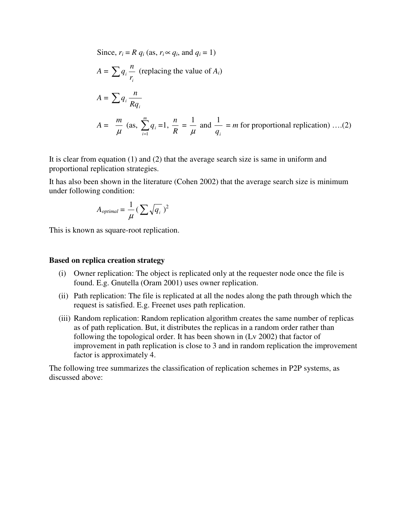Since, 
$$
r_i = R q_i
$$
 (as,  $r_i \propto q_i$ , and  $q_i = 1$ )  
\n
$$
A = \sum q_i \frac{n}{r_i}
$$
 (replacing the value of  $A_i$ )  
\n
$$
A = \sum q_i \frac{n}{Rq_i}
$$
  
\n
$$
A = \frac{m}{\mu} \text{ (as, } \sum_{i=1}^{m} q_i = 1, \frac{n}{R} = \frac{1}{\mu} \text{ and } \frac{1}{q_i} = m \text{ for proportional replication} \dots (2)
$$

It is clear from equation (1) and (2) that the average search size is same in uniform and proportional replication strategies.

It has also been shown in the literature (Cohen 2002) that the average search size is minimum under following condition:

$$
A_{optimal} = \frac{1}{\mu} \left( \sum \sqrt{q_i} \right)^2
$$

This is known as square-root replication.

#### **Based on replica creation strategy**

- (i) Owner replication: The object is replicated only at the requester node once the file is found. E.g. Gnutella (Oram 2001) uses owner replication.
- (ii) Path replication: The file is replicated at all the nodes along the path through which the request is satisfied. E.g. Freenet uses path replication.
- (iii) Random replication: Random replication algorithm creates the same number of replicas as of path replication. But, it distributes the replicas in a random order rather than following the topological order. It has been shown in (Lv 2002) that factor of improvement in path replication is close to 3 and in random replication the improvement factor is approximately 4.

The following tree summarizes the classification of replication schemes in P2P systems, as discussed above: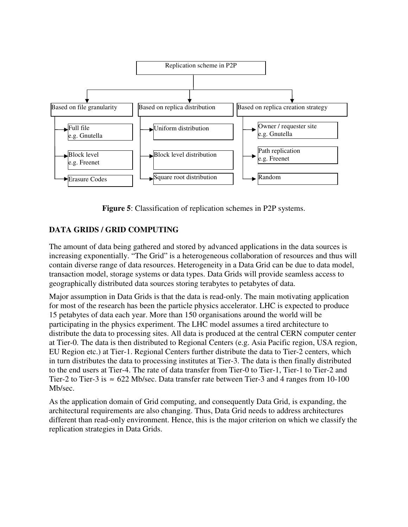

**Figure 5**: Classification of replication schemes in P2P systems.

# **DATA GRIDS / GRID COMPUTING**

The amount of data being gathered and stored by advanced applications in the data sources is increasing exponentially. "The Grid" is a heterogeneous collaboration of resources and thus will contain diverse range of data resources. Heterogeneity in a Data Grid can be due to data model, transaction model, storage systems or data types. Data Grids will provide seamless access to geographically distributed data sources storing terabytes to petabytes of data.

Major assumption in Data Grids is that the data is read-only. The main motivating application for most of the research has been the particle physics accelerator. LHC is expected to produce 15 petabytes of data each year. More than 150 organisations around the world will be participating in the physics experiment. The LHC model assumes a tired architecture to distribute the data to processing sites. All data is produced at the central CERN computer center at Tier-0. The data is then distributed to Regional Centers (e.g. Asia Pacific region, USA region, EU Region etc.) at Tier-1. Regional Centers further distribute the data to Tier-2 centers, which in turn distributes the data to processing institutes at Tier-3. The data is then finally distributed to the end users at Tier-4. The rate of data transfer from Tier-0 to Tier-1, Tier-1 to Tier-2 and Tier-2 to Tier-3 is  $\approx$  622 Mb/sec. Data transfer rate between Tier-3 and 4 ranges from 10-100 Mb/sec.

As the application domain of Grid computing, and consequently Data Grid, is expanding, the architectural requirements are also changing. Thus, Data Grid needs to address architectures different than read-only environment. Hence, this is the major criterion on which we classify the replication strategies in Data Grids.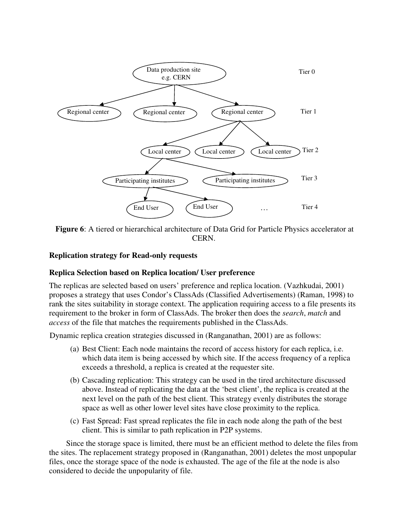

**Figure 6**: A tiered or hierarchical architecture of Data Grid for Particle Physics accelerator at CERN.

#### **Replication strategy for Read-only requests**

#### **Replica Selection based on Replica location/ User preference**

The replicas are selected based on users' preference and replica location. (Vazhkudai, 2001) proposes a strategy that uses Condor's ClassAds (Classified Advertisements) (Raman, 1998) to rank the sites suitability in storage context. The application requiring access to a file presents its requirement to the broker in form of ClassAds. The broker then does the *search*, *match* and *access* of the file that matches the requirements published in the ClassAds.

Dynamic replica creation strategies discussed in (Ranganathan, 2001) are as follows:

- (a) Best Client: Each node maintains the record of access history for each replica, i.e. which data item is being accessed by which site. If the access frequency of a replica exceeds a threshold, a replica is created at the requester site.
- (b) Cascading replication: This strategy can be used in the tired architecture discussed above. Instead of replicating the data at the 'best client', the replica is created at the next level on the path of the best client. This strategy evenly distributes the storage space as well as other lower level sites have close proximity to the replica.
- (c) Fast Spread: Fast spread replicates the file in each node along the path of the best client. This is similar to path replication in P2P systems.

Since the storage space is limited, there must be an efficient method to delete the files from the sites. The replacement strategy proposed in (Ranganathan, 2001) deletes the most unpopular files, once the storage space of the node is exhausted. The age of the file at the node is also considered to decide the unpopularity of file.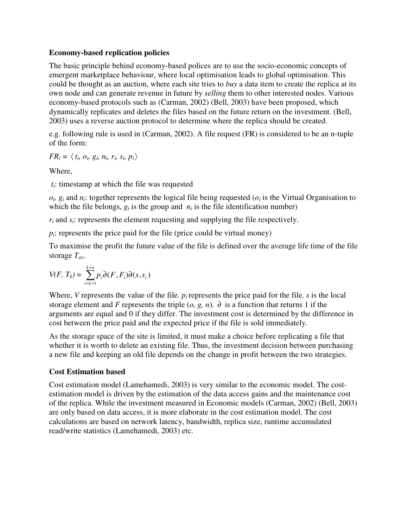#### **Economy-based replication policies**

The basic principle behind economy-based polices are to use the socio-economic concepts of emergent marketplace behaviour, where local optimisation leads to global optimisation. This could be thought as an auction, where each site tries to *buy* a data item to create the replica at its own node and can generate revenue in future by *selling* them to other interested nodes. Various economy-based protocols such as (Carman, 2002) (Bell, 2003) have been proposed, which dynamically replicates and deletes the files based on the future return on the investment. (Bell, 2003) uses a reverse auction protocol to determine where the replica should be created.

e.g. following rule is used in (Carman, 2002). A file request (FR) is considered to be an n-tuple of the form:

$$
FR_i = \langle t_i, o_i, g_i, n_i, r_i, s_i, p_i \rangle
$$

Where,

*ti*: timestamp at which the file was requested

 $o_i$ ,  $g_i$  and  $n_i$ : together represents the logical file being requested ( $o_i$  is the Virtual Organisation to which the file belongs,  $g_i$  is the group and  $n_i$  is the file identification number)

*ri* and *si*: represents the element requesting and supplying the file respectively.

 $p_i$ : represents the price paid for the file (price could be virtual money)

To maximise the profit the future value of the file is defined over the average life time of the file storage *Tav*.

$$
V(F, T_k) = \sum_{i=k+1}^{k+n} p_i \partial(F, F_i) \partial(s, s_i)
$$

Where, *V* represents the value of the file.  $p_i$  represents the price paid for the file. *s* is the local storage element and *F* represents the triple  $(o, g, n)$ . ∂ is a function that returns 1 if the arguments are equal and 0 if they differ. The investment cost is determined by the difference in cost between the price paid and the expected price if the file is sold immediately.

As the storage space of the site is limited, it must make a choice before replicating a file that whether it is worth to delete an existing file. Thus, the investment decision between purchasing a new file and keeping an old file depends on the change in profit between the two strategies.

# **Cost Estimation based**

Cost estimation model (Lamehamedi, 2003) is very similar to the economic model. The costestimation model is driven by the estimation of the data access gains and the maintenance cost of the replica. While the investment measured in Economic models (Carman, 2002) (Bell, 2003) are only based on data access, it is more elaborate in the cost estimation model. The cost calculations are based on network latency, bandwidth, replica size, runtime accumulated read/write statistics (Lamehamedi, 2003) etc.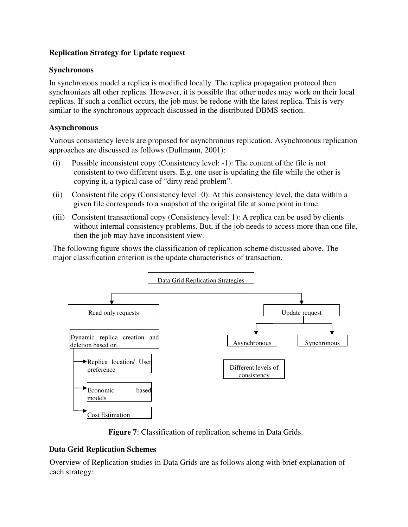# **Replication Strategy for Update request**

#### **Synchronous**

In synchronous model a replica is modified locally. The replica propagation protocol then synchronizes all other replicas. However, it is possible that other nodes may work on their local replicas. If such a conflict occurs, the job must be redone with the latest replica. This is very similar to the synchronous approach discussed in the distributed DBMS section.

#### **Asynchronous**

Various consistency levels are proposed for asynchronous replication. Asynchronous replication approaches are discussed as follows (Dullmann, 2001):

- (i) Possible inconsistent copy (Consistency level: -1): The content of the file is not consistent to two different users. E.g. one user is updating the file while the other is copying it, a typical case of "dirty read problem".
- (ii) Consistent file copy (Consistency level: 0): At this consistency level, the data within a given file corresponds to a snapshot of the original file at some point in time.
- (iii) Consistent transactional copy (Consistency level: 1): A replica can be used by clients without internal consistency problems. But, if the job needs to access more than one file, then the job may have inconsistent view.

The following figure shows the classification of replication scheme discussed above. The major classification criterion is the update characteristics of transaction.



**Figure 7**: Classification of replication scheme in Data Grids.

#### **Data Grid Replication Schemes**

Overview of Replication studies in Data Grids are as follows along with brief explanation of each strategy: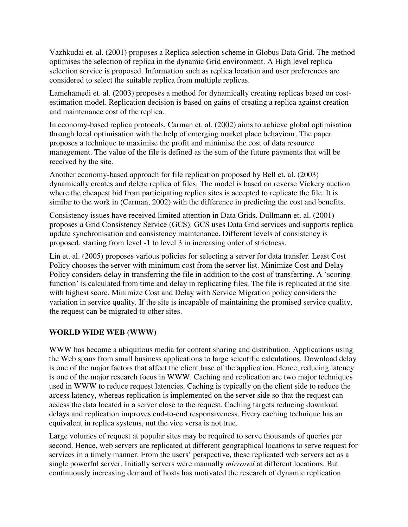Vazhkudai et. al. (2001) proposes a Replica selection scheme in Globus Data Grid. The method optimises the selection of replica in the dynamic Grid environment. A High level replica selection service is proposed. Information such as replica location and user preferences are considered to select the suitable replica from multiple replicas.

Lamehamedi et. al. (2003) proposes a method for dynamically creating replicas based on costestimation model. Replication decision is based on gains of creating a replica against creation and maintenance cost of the replica.

In economy-based replica protocols, Carman et. al. (2002) aims to achieve global optimisation through local optimisation with the help of emerging market place behaviour. The paper proposes a technique to maximise the profit and minimise the cost of data resource management. The value of the file is defined as the sum of the future payments that will be received by the site.

Another economy-based approach for file replication proposed by Bell et. al. (2003) dynamically creates and delete replica of files. The model is based on reverse Vickery auction where the cheapest bid from participating replica sites is accepted to replicate the file. It is similar to the work in (Carman, 2002) with the difference in predicting the cost and benefits.

Consistency issues have received limited attention in Data Grids. Dullmann et. al. (2001) proposes a Grid Consistency Service (GCS). GCS uses Data Grid services and supports replica update synchronisation and consistency maintenance. Different levels of consistency is proposed, starting from level -1 to level 3 in increasing order of strictness.

Lin et. al. (2005) proposes various policies for selecting a server for data transfer. Least Cost Policy chooses the server with minimum cost from the server list. Minimize Cost and Delay Policy considers delay in transferring the file in addition to the cost of transferring. A 'scoring function' is calculated from time and delay in replicating files. The file is replicated at the site with highest score. Minimize Cost and Delay with Service Migration policy considers the variation in service quality. If the site is incapable of maintaining the promised service quality, the request can be migrated to other sites.

# **WORLD WIDE WEB (WWW)**

WWW has become a ubiquitous media for content sharing and distribution. Applications using the Web spans from small business applications to large scientific calculations. Download delay is one of the major factors that affect the client base of the application. Hence, reducing latency is one of the major research focus in WWW. Caching and replication are two major techniques used in WWW to reduce request latencies. Caching is typically on the client side to reduce the access latency, whereas replication is implemented on the server side so that the request can access the data located in a server close to the request. Caching targets reducing download delays and replication improves end-to-end responsiveness. Every caching technique has an equivalent in replica systems, nut the vice versa is not true.

Large volumes of request at popular sites may be required to serve thousands of queries per second. Hence, web servers are replicated at different geographical locations to serve request for services in a timely manner. From the users' perspective, these replicated web servers act as a single powerful server. Initially servers were manually *mirrored* at different locations. But continuously increasing demand of hosts has motivated the research of dynamic replication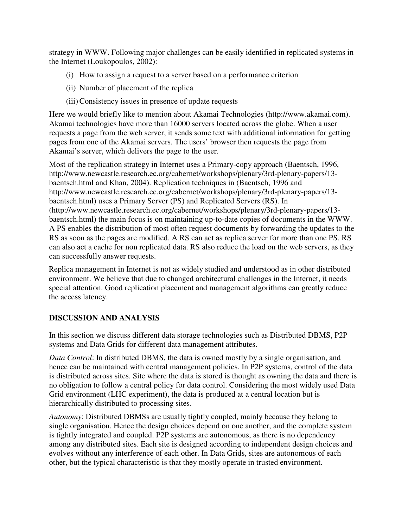strategy in WWW. Following major challenges can be easily identified in replicated systems in the Internet (Loukopoulos, 2002):

- (i) How to assign a request to a server based on a performance criterion
- (ii) Number of placement of the replica
- (iii) Consistency issues in presence of update requests

Here we would briefly like to mention about Akamai Technologies (http://www.akamai.com). Akamai technologies have more than 16000 servers located across the globe. When a user requests a page from the web server, it sends some text with additional information for getting pages from one of the Akamai servers. The users' browser then requests the page from Akamai's server, which delivers the page to the user.

Most of the replication strategy in Internet uses a Primary-copy approach (Baentsch, 1996, http://www.newcastle.research.ec.org/cabernet/workshops/plenary/3rd-plenary-papers/13 baentsch.html and Khan, 2004). Replication techniques in (Baentsch, 1996 and http://www.newcastle.research.ec.org/cabernet/workshops/plenary/3rd-plenary-papers/13 baentsch.html) uses a Primary Server (PS) and Replicated Servers (RS). In (http://www.newcastle.research.ec.org/cabernet/workshops/plenary/3rd-plenary-papers/13 baentsch.html) the main focus is on maintaining up-to-date copies of documents in the WWW. A PS enables the distribution of most often request documents by forwarding the updates to the RS as soon as the pages are modified. A RS can act as replica server for more than one PS. RS can also act a cache for non replicated data. RS also reduce the load on the web servers, as they can successfully answer requests.

Replica management in Internet is not as widely studied and understood as in other distributed environment. We believe that due to changed architectural challenges in the Internet, it needs special attention. Good replication placement and management algorithms can greatly reduce the access latency.

# **DISCUSSION AND ANALYSIS**

In this section we discuss different data storage technologies such as Distributed DBMS, P2P systems and Data Grids for different data management attributes.

*Data Control*: In distributed DBMS, the data is owned mostly by a single organisation, and hence can be maintained with central management policies. In P2P systems, control of the data is distributed across sites. Site where the data is stored is thought as owning the data and there is no obligation to follow a central policy for data control. Considering the most widely used Data Grid environment (LHC experiment), the data is produced at a central location but is hierarchically distributed to processing sites.

*Autonomy*: Distributed DBMSs are usually tightly coupled, mainly because they belong to single organisation. Hence the design choices depend on one another, and the complete system is tightly integrated and coupled. P2P systems are autonomous, as there is no dependency among any distributed sites. Each site is designed according to independent design choices and evolves without any interference of each other. In Data Grids, sites are autonomous of each other, but the typical characteristic is that they mostly operate in trusted environment.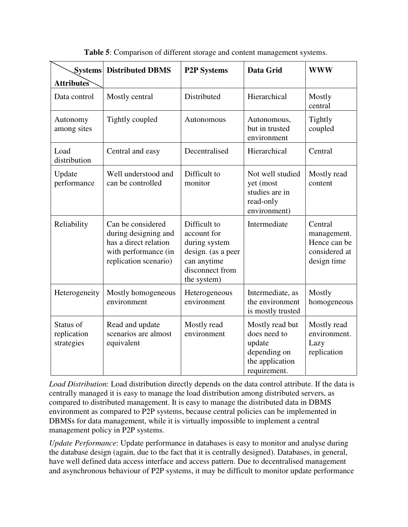| <b>Systems</b><br><b>Attributes</b>    | <b>Distributed DBMS</b>                                                                                             | <b>P2P Systems</b>                                                                                                  | <b>Data Grid</b>                                                                             | <b>WWW</b>                                                             |
|----------------------------------------|---------------------------------------------------------------------------------------------------------------------|---------------------------------------------------------------------------------------------------------------------|----------------------------------------------------------------------------------------------|------------------------------------------------------------------------|
| Data control                           | Mostly central                                                                                                      | Distributed                                                                                                         | Hierarchical                                                                                 | Mostly<br>central                                                      |
| Autonomy<br>among sites                | Tightly coupled                                                                                                     | Autonomous                                                                                                          | Autonomous,<br>but in trusted<br>environment                                                 | Tightly<br>coupled                                                     |
| Load<br>distribution                   | Central and easy                                                                                                    | Decentralised                                                                                                       | Hierarchical                                                                                 | Central                                                                |
| Update<br>performance                  | Well understood and<br>can be controlled                                                                            | Difficult to<br>monitor                                                                                             | Not well studied<br>yet (most<br>studies are in<br>read-only<br>environment)                 | Mostly read<br>content                                                 |
| Reliability                            | Can be considered<br>during designing and<br>has a direct relation<br>with performance (in<br>replication scenario) | Difficult to<br>account for<br>during system<br>design. (as a peer<br>can anytime<br>disconnect from<br>the system) | Intermediate                                                                                 | Central<br>management.<br>Hence can be<br>considered at<br>design time |
| Heterogeneity                          | Mostly homogeneous<br>environment                                                                                   | Heterogeneous<br>environment                                                                                        | Intermediate, as<br>the environment<br>is mostly trusted                                     | Mostly<br>homogeneous                                                  |
| Status of<br>replication<br>strategies | Read and update<br>scenarios are almost<br>equivalent                                                               | Mostly read<br>environment                                                                                          | Mostly read but<br>does need to<br>update<br>depending on<br>the application<br>requirement. | Mostly read<br>environment.<br>Lazy<br>replication                     |

**Table 5**: Comparison of different storage and content management systems.

*Load Distribution*: Load distribution directly depends on the data control attribute. If the data is centrally managed it is easy to manage the load distribution among distributed servers, as compared to distributed management. It is easy to manage the distributed data in DBMS environment as compared to P2P systems, because central policies can be implemented in DBMSs for data management, while it is virtually impossible to implement a central management policy in P2P systems.

*Update Performance*: Update performance in databases is easy to monitor and analyse during the database design (again, due to the fact that it is centrally designed). Databases, in general, have well defined data access interface and access pattern. Due to decentralised management and asynchronous behaviour of P2P systems, it may be difficult to monitor update performance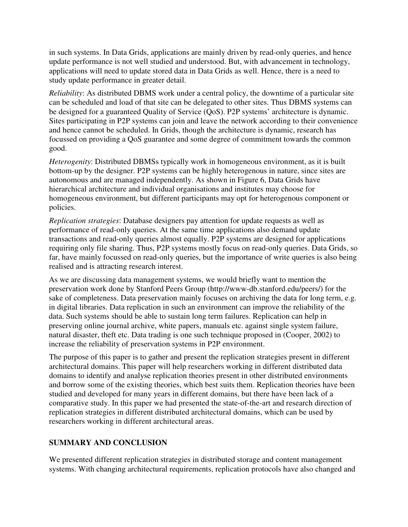in such systems. In Data Grids, applications are mainly driven by read-only queries, and hence update performance is not well studied and understood. But, with advancement in technology, applications will need to update stored data in Data Grids as well. Hence, there is a need to study update performance in greater detail.

*Reliability*: As distributed DBMS work under a central policy, the downtime of a particular site can be scheduled and load of that site can be delegated to other sites. Thus DBMS systems can be designed for a guaranteed Quality of Service (QoS). P2P systems' architecture is dynamic. Sites participating in P2P systems can join and leave the network according to their convenience and hence cannot be scheduled. In Grids, though the architecture is dynamic, research has focussed on providing a QoS guarantee and some degree of commitment towards the common good.

*Heterogenity*: Distributed DBMSs typically work in homogeneous environment, as it is built bottom-up by the designer. P2P systems can be highly heterogenous in nature, since sites are autonomous and are managed independently. As shown in Figure 6, Data Grids have hierarchical architecture and individual organisations and institutes may choose for homogeneous environment, but different participants may opt for heterogenous component or policies.

*Replication strategies*: Database designers pay attention for update requests as well as performance of read-only queries. At the same time applications also demand update transactions and read-only queries almost equally. P2P systems are designed for applications requiring only file sharing. Thus, P2P systems mostly focus on read-only queries. Data Grids, so far, have mainly focussed on read-only queries, but the importance of write queries is also being realised and is attracting research interest.

As we are discussing data management systems, we would briefly want to mention the preservation work done by Stanford Peers Group (http://www-db.stanford.edu/peers/) for the sake of completeness. Data preservation mainly focuses on archiving the data for long term, e.g. in digital libraries. Data replication in such an environment can improve the reliability of the data. Such systems should be able to sustain long term failures. Replication can help in preserving online journal archive, white papers, manuals etc. against single system failure, natural disaster, theft etc. Data trading is one such technique proposed in (Cooper, 2002) to increase the reliability of preservation systems in P2P environment.

The purpose of this paper is to gather and present the replication strategies present in different architectural domains. This paper will help researchers working in different distributed data domains to identify and analyse replication theories present in other distributed environments and borrow some of the existing theories, which best suits them. Replication theories have been studied and developed for many years in different domains, but there have been lack of a comparative study. In this paper we had presented the state-of-the-art and research direction of replication strategies in different distributed architectural domains, which can be used by researchers working in different architectural areas.

# **SUMMARY AND CONCLUSION**

We presented different replication strategies in distributed storage and content management systems. With changing architectural requirements, replication protocols have also changed and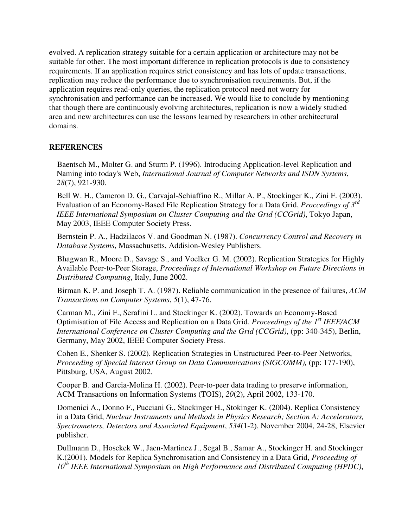evolved. A replication strategy suitable for a certain application or architecture may not be suitable for other. The most important difference in replication protocols is due to consistency requirements. If an application requires strict consistency and has lots of update transactions, replication may reduce the performance due to synchronisation requirements. But, if the application requires read-only queries, the replication protocol need not worry for synchronisation and performance can be increased. We would like to conclude by mentioning that though there are continuously evolving architectures, replication is now a widely studied area and new architectures can use the lessons learned by researchers in other architectural domains.

#### **REFERENCES**

Baentsch M., Molter G. and Sturm P. (1996). Introducing Application-level Replication and Naming into today's Web, *International Journal of Computer Networks and ISDN Systems*, *28*(7), 921-930.

Bell W. H., Cameron D. G., Carvajal-Schiaffino R., Millar A. P., Stockinger K., Zini F. (2003). Evaluation of an Economy-Based File Replication Strategy for a Data Grid, *Proccedings of 3rd IEEE International Symposium on Cluster Computing and the Grid (CCGrid)*, Tokyo Japan, May 2003, IEEE Computer Society Press.

Bernstein P. A., Hadzilacos V. and Goodman N. (1987). *Concurrency Control and Recovery in Database Systems*, Massachusetts, Addision-Wesley Publishers.

Bhagwan R., Moore D., Savage S., and Voelker G. M. (2002). Replication Strategies for Highly Available Peer-to-Peer Storage, *Proceedings of International Workshop on Future Directions in Distributed Computing*, Italy, June 2002.

Birman K. P. and Joseph T. A. (1987). Reliable communication in the presence of failures, *ACM Transactions on Computer Systems*, *5*(1), 47-76.

Carman M., Zini F., Serafini L. and Stockinger K. (2002). Towards an Economy-Based Optimisation of File Access and Replication on a Data Grid. *Proceedings of the 1st IEEE/ACM International Conference on Cluster Computing and the Grid (CCGrid)*, (pp: 340-345), Berlin, Germany, May 2002, IEEE Computer Society Press.

Cohen E., Shenker S. (2002). Replication Strategies in Unstructured Peer-to-Peer Networks, *Proceeding of Special Interest Group on Data Communications (SIGCOMM),* (pp: 177-190), Pittsburg, USA, August 2002.

Cooper B. and Garcia-Molina H. (2002). Peer-to-peer data trading to preserve information, ACM Transactions on Information Systems (TOIS), *20*(2), April 2002, 133-170.

Domenici A., Donno F., Pucciani G., Stockinger H., Stokinger K. (2004). Replica Consistency in a Data Grid, *Nuclear Instruments and Methods in Physics Research; Section A: Accelerators, Spectrometers, Detectors and Associated Equipment*, *534*(1-2), November 2004, 24-28, Elsevier publisher.

Dullmann D., Hosckek W., Jaen-Martinez J., Segal B., Samar A., Stockinger H. and Stockinger K.(2001). Models for Replica Synchronisation and Consistency in a Data Grid, *Proceeding of 10th IEEE International Symposium on High Performance and Distributed Computing (HPDC)*,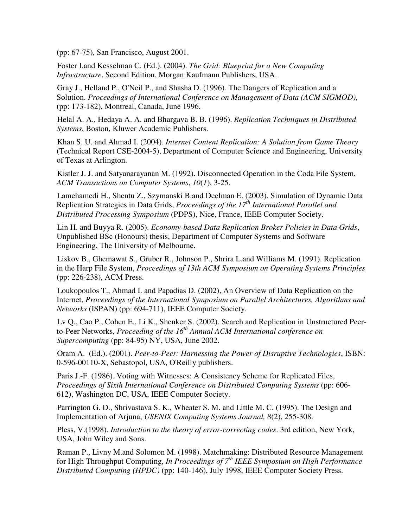(pp: 67-75), San Francisco, August 2001.

Foster I.and Kesselman C. (Ed.). (2004). *The Grid: Blueprint for a New Computing Infrastructure*, Second Edition, Morgan Kaufmann Publishers, USA.

Gray J., Helland P., O'Neil P., and Shasha D. (1996). The Dangers of Replication and a Solution. *Proceedings of International Conference on Management of Data (ACM SIGMOD)*, (pp: 173-182), Montreal, Canada, June 1996.

Helal A. A., Hedaya A. A. and Bhargava B. B. (1996). *Replication Techniques in Distributed Systems*, Boston, Kluwer Academic Publishers.

Khan S. U. and Ahmad I. (2004). *Internet Content Replication: A Solution from Game Theory* (Technical Report CSE-2004-5), Department of Computer Science and Engineering, University of Texas at Arlington.

Kistler J. J. and Satyanarayanan M. (1992). Disconnected Operation in the Coda File System, *ACM Transactions on Computer Systems*, *10*(*1*), 3-25.

Lamehamedi H., Shentu Z., Szymanski B.and Deelman E. (2003). Simulation of Dynamic Data Replication Strategies in Data Grids, *Proceedings of the 17th International Parallel and Distributed Processing Symposium* (PDPS), Nice, France, IEEE Computer Society.

Lin H. and Buyya R. (2005). *Economy-based Data Replication Broker Policies in Data Grids*, Unpublished BSc (Honours) thesis, Department of Computer Systems and Software Engineering, The University of Melbourne.

Liskov B., Ghemawat S., Gruber R., Johnson P., Shrira L.and Williams M. (1991). Replication in the Harp File System, *Proceedings of 13th ACM Symposium on Operating Systems Principles* (pp: 226-238), ACM Press.

Loukopoulos T., Ahmad I. and Papadias D. (2002), An Overview of Data Replication on the Internet, *Proceedings of the International Symposium on Parallel Architectures, Algorithms and Networks* (ISPAN) (pp: 694-711), IEEE Computer Society.

Lv Q., Cao P., Cohen E., Li K., Shenker S. (2002). Search and Replication in Unstructured Peerto-Peer Networks, *Proceeding of the 16th Annual ACM International conference on Supercomputing* (pp: 84-95) NY, USA, June 2002.

Oram A. (Ed.). (2001). *Peer-to-Peer: Harnessing the Power of Disruptive Technologies*, ISBN: 0-596-00110-X, Sebastopol, USA, O'Reilly publishers.

Paris J.-F. (1986). Voting with Witnesses: A Consistency Scheme for Replicated Files, *Proceedings of Sixth International Conference on Distributed Computing Systems* (pp: 606- 612), Washington DC, USA, IEEE Computer Society.

Parrington G. D., Shrivastava S. K., Wheater S. M. and Little M. C. (1995). The Design and Implementation of Arjuna, *USENIX Computing Systems Journal, 8*(2), 255-308.

Pless, V.(1998). *Introduction to the theory of error-correcting codes*. 3rd edition, New York, USA, John Wiley and Sons.

Raman P., Livny M.and Solomon M. (1998). Matchmaking: Distributed Resource Management for High Throughput Computing, *In Proceedings of 7th IEEE Symposium on High Performance Distributed Computing (HPDC)* (pp: 140-146), July 1998, IEEE Computer Society Press.